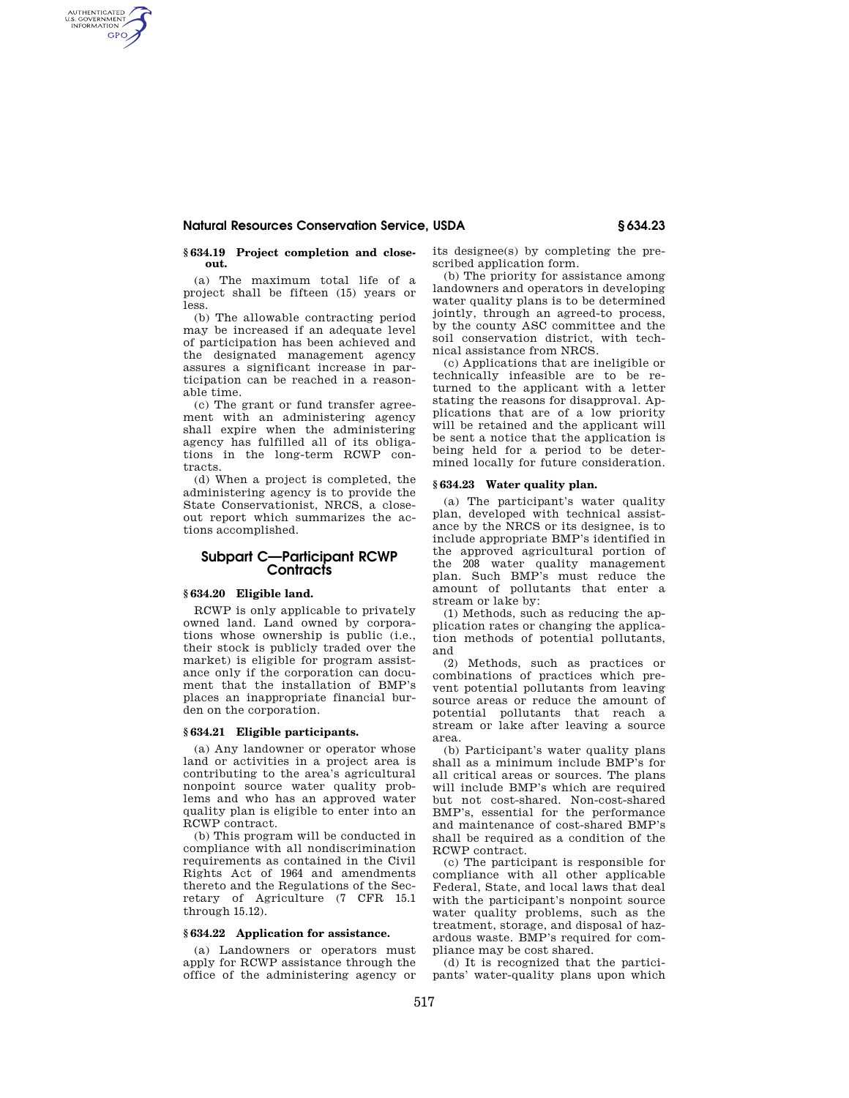### **Natural Resources Conservation Service, USDA § 634.23**

#### **§ 634.19 Project completion and closeout.**

AUTHENTICATED<br>U.S. GOVERNMENT<br>INFORMATION **GPO** 

> (a) The maximum total life of a project shall be fifteen (15) years or less.

> (b) The allowable contracting period may be increased if an adequate level of participation has been achieved and the designated management agency assures a significant increase in participation can be reached in a reasonable time.

> (c) The grant or fund transfer agreement with an administering agency shall expire when the administering agency has fulfilled all of its obligations in the long-term RCWP contracts.

> (d) When a project is completed, the administering agency is to provide the State Conservationist, NRCS, a closeout report which summarizes the actions accomplished.

# **Subpart C—Participant RCWP Contracts**

# **§ 634.20 Eligible land.**

RCWP is only applicable to privately owned land. Land owned by corporations whose ownership is public (i.e., their stock is publicly traded over the market) is eligible for program assistance only if the corporation can document that the installation of BMP's places an inappropriate financial burden on the corporation.

### **§ 634.21 Eligible participants.**

(a) Any landowner or operator whose land or activities in a project area is contributing to the area's agricultural nonpoint source water quality problems and who has an approved water quality plan is eligible to enter into an RCWP contract.

(b) This program will be conducted in compliance with all nondiscrimination requirements as contained in the Civil Rights Act of 1964 and amendments thereto and the Regulations of the Secretary of Agriculture (7 CFR 15.1 through 15.12).

#### **§ 634.22 Application for assistance.**

(a) Landowners or operators must apply for RCWP assistance through the office of the administering agency or its designee(s) by completing the prescribed application form.

(b) The priority for assistance among landowners and operators in developing water quality plans is to be determined jointly, through an agreed-to process, by the county ASC committee and the soil conservation district, with technical assistance from NRCS.

(c) Applications that are ineligible or technically infeasible are to be returned to the applicant with a letter stating the reasons for disapproval. Applications that are of a low priority will be retained and the applicant will be sent a notice that the application is being held for a period to be determined locally for future consideration.

## **§ 634.23 Water quality plan.**

(a) The participant's water quality plan, developed with technical assistance by the NRCS or its designee, is to include appropriate BMP's identified in the approved agricultural portion of the 208 water quality management plan. Such BMP's must reduce the amount of pollutants that enter a stream or lake by:

(1) Methods, such as reducing the application rates or changing the application methods of potential pollutants, and

(2) Methods, such as practices or combinations of practices which prevent potential pollutants from leaving source areas or reduce the amount of potential pollutants that reach a stream or lake after leaving a source area.

(b) Participant's water quality plans shall as a minimum include BMP's for all critical areas or sources. The plans will include BMP's which are required but not cost-shared. Non-cost-shared BMP's, essential for the performance and maintenance of cost-shared BMP's shall be required as a condition of the RCWP contract.

(c) The participant is responsible for compliance with all other applicable Federal, State, and local laws that deal with the participant's nonpoint source water quality problems, such as the treatment, storage, and disposal of hazardous waste. BMP's required for compliance may be cost shared.

(d) It is recognized that the participants' water-quality plans upon which